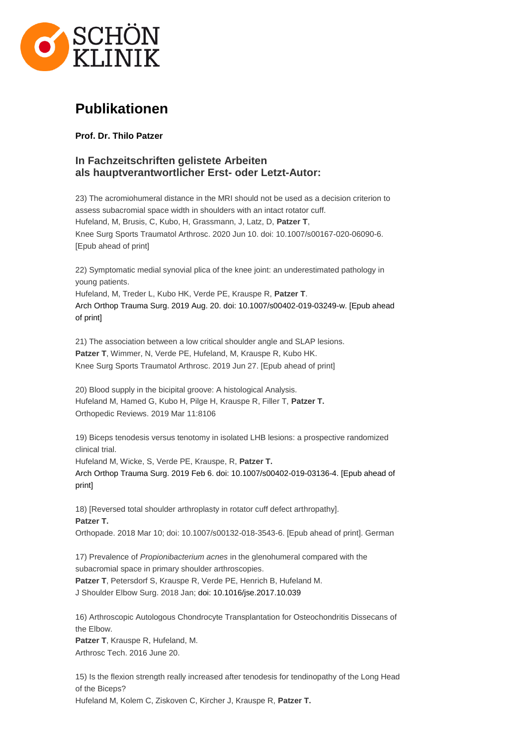

# **Publikationen**

**Prof. Dr. Thilo Patzer**

## **In Fachzeitschriften gelistete Arbeiten als hauptverantwortlicher Erst- oder Letzt-Autor:**

23) The acromiohumeral distance in the MRI should not be used as a decision criterion to assess subacromial space width in shoulders with an intact rotator cuff. Hufeland, M, Brusis, C, Kubo, H, Grassmann, J, Latz, D, **Patzer T**, Knee Surg Sports Traumatol Arthrosc. 2020 Jun 10. doi: 10.1007/s00167-020-06090-6. [Epub ahead of print]

22) Symptomatic medial synovial plica of the knee joint: an underestimated pathology in young patients.

Hufeland, M, Treder L, Kubo HK, Verde PE, Krauspe R, **Patzer T**. Arch Orthop Trauma Surg. 2019 Aug. 20. doi: 10.1007/s00402-019-03249-w. [Epub ahead of print]

21) The association between a low critical shoulder angle and SLAP lesions. **Patzer T**, Wimmer, N, Verde PE, Hufeland, M, Krauspe R, Kubo HK. Knee Surg Sports Traumatol Arthrosc. 2019 Jun 27. [Epub ahead of print]

20) Blood supply in the bicipital groove: A histological Analysis. Hufeland M, Hamed G, Kubo H, Pilge H, Krauspe R, Filler T, **Patzer T.** Orthopedic Reviews. 2019 Mar 11:8106

19) Biceps tenodesis versus tenotomy in isolated LHB lesions: a prospective randomized clinical trial.

Hufeland M, Wicke, S, Verde PE, Krauspe, R, **Patzer T.** Arch Orthop Trauma Surg. 2019 Feb 6. doi: 10.1007/s00402-019-03136-4. [Epub ahead of print]

18) [Reversed total shoulder arthroplasty in rotator cuff defect arthropathy]. **Patzer T.** Orthopade. 2018 Mar 10; doi: 10.1007/s00132-018-3543-6. [Epub ahead of print]. German

17) Prevalence of *Propionibacterium acnes* in the glenohumeral compared with the subacromial space in primary shoulder arthroscopies. **Patzer T**, Petersdorf S, Krauspe R, Verde PE, Henrich B, Hufeland M. J Shoulder Elbow Surg. 2018 Jan; doi: 10.1016/jse.2017.10.039

16) Arthroscopic Autologous Chondrocyte Transplantation for Osteochondritis Dissecans of the Elbow.

**Patzer T**, Krauspe R, Hufeland, M. Arthrosc Tech. 2016 June 20.

15) Is the flexion strength really increased after tenodesis for tendinopathy of the Long Head of the Biceps? Hufeland M, Kolem C, Ziskoven C, Kircher J, Krauspe R, **Patzer T.**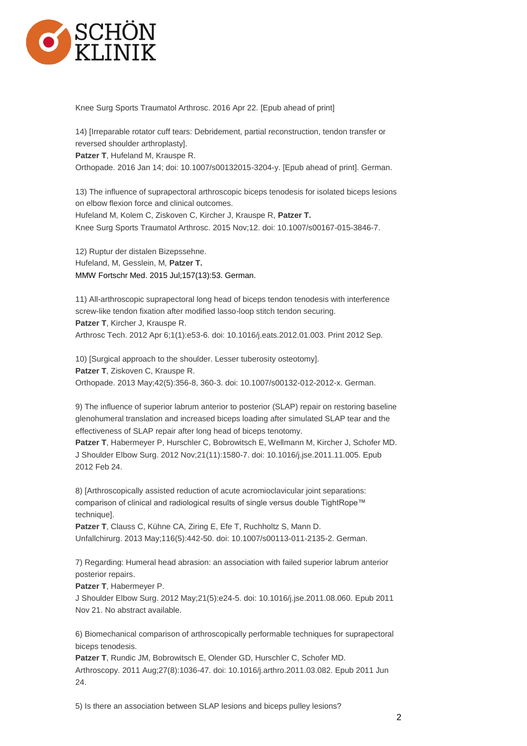

Knee Surg Sports Traumatol Arthrosc. 2016 Apr 22. [Epub ahead of print]

14) [Irreparable rotator cuff tears: Debridement, partial reconstruction, tendon transfer or reversed shoulder arthroplasty]. **Patzer T**, Hufeland M, Krauspe R.

Orthopade. 2016 Jan 14; doi: 10.1007/s00132015-3204-y. [Epub ahead of print]. German.

13) The influence of suprapectoral arthroscopic biceps tenodesis for isolated biceps lesions on elbow flexion force and clinical outcomes. Hufeland M, Kolem C, Ziskoven C, Kircher J, Krauspe R, **Patzer T.** Knee Surg Sports Traumatol Arthrosc. 2015 Nov;12. doi: 10.1007/s00167-015-3846-7.

12) Ruptur der distalen Bizepssehne. Hufeland, M, Gesslein, M, **Patzer T.** MMW Fortschr Med. 2015 Jul;157(13):53. German.

11) All-arthroscopic suprapectoral long head of biceps tendon tenodesis with interference screw-like tendon fixation after modified lasso-loop stitch tendon securing. **Patzer T**, Kircher J, Krauspe R. Arthrosc Tech. 2012 Apr 6;1(1):e53-6. doi: 10.1016/j.eats.2012.01.003. Print 2012 Sep.

10) [Surgical approach to the shoulder. Lesser tuberosity osteotomy]. **Patzer T**, Ziskoven C, Krauspe R. Orthopade. 2013 May;42(5):356-8, 360-3. doi: 10.1007/s00132-012-2012-x. German.

9) The influence of superior labrum anterior to posterior (SLAP) repair on restoring baseline glenohumeral translation and increased biceps loading after simulated SLAP tear and the effectiveness of SLAP repair after long head of biceps tenotomy.

**Patzer T**, Habermeyer P, Hurschler C, Bobrowitsch E, Wellmann M, Kircher J, Schofer MD. J Shoulder Elbow Surg. 2012 Nov;21(11):1580-7. doi: 10.1016/j.jse.2011.11.005. Epub 2012 Feb 24.

8) [Arthroscopically assisted reduction of acute acromioclavicular joint separations: comparison of clinical and radiological results of single versus double TightRope™ technique].

**Patzer T**, Clauss C, Kühne CA, Ziring E, Efe T, Ruchholtz S, Mann D. Unfallchirurg. 2013 May;116(5):442-50. doi: 10.1007/s00113-011-2135-2. German.

7) Regarding: Humeral head abrasion: an association with failed superior labrum anterior posterior repairs.

**Patzer T**, Habermeyer P.

J Shoulder Elbow Surg. 2012 May;21(5):e24-5. doi: 10.1016/j.jse.2011.08.060. Epub 2011 Nov 21. No abstract available.

6) Biomechanical comparison of arthroscopically performable techniques for suprapectoral biceps tenodesis.

**Patzer T**, Rundic JM, Bobrowitsch E, Olender GD, Hurschler C, Schofer MD. Arthroscopy. 2011 Aug;27(8):1036-47. doi: 10.1016/j.arthro.2011.03.082. Epub 2011 Jun 24.

5) Is there an association between SLAP lesions and biceps pulley lesions?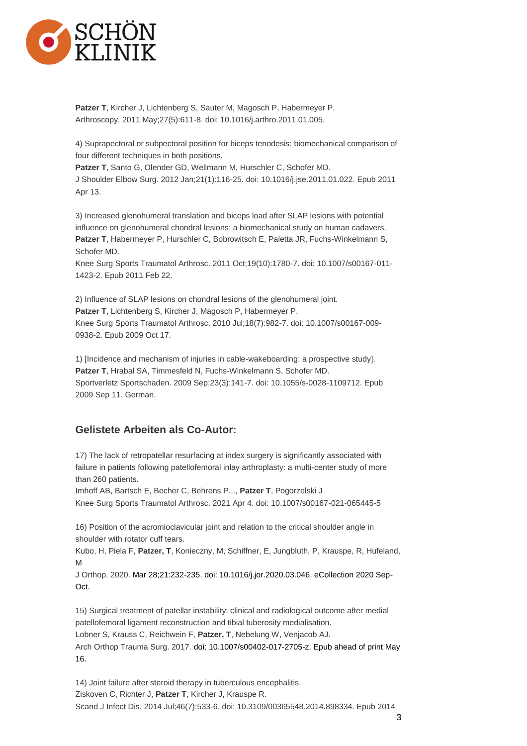

**Patzer T**, Kircher J, Lichtenberg S, Sauter M, Magosch P, Habermeyer P. Arthroscopy. 2011 May;27(5):611-8. doi: 10.1016/j.arthro.2011.01.005.

4) Suprapectoral or subpectoral position for biceps tenodesis: biomechanical comparison of four different techniques in both positions.

**Patzer T**, Santo G, Olender GD, Wellmann M, Hurschler C, Schofer MD.

J Shoulder Elbow Surg. 2012 Jan;21(1):116-25. doi: 10.1016/j.jse.2011.01.022. Epub 2011 Apr 13.

3) Increased glenohumeral translation and biceps load after SLAP lesions with potential influence on glenohumeral chondral lesions: a biomechanical study on human cadavers. **Patzer T**, Habermeyer P, Hurschler C, Bobrowitsch E, Paletta JR, Fuchs-Winkelmann S, Schofer MD.

Knee Surg Sports Traumatol Arthrosc. 2011 Oct;19(10):1780-7. doi: 10.1007/s00167-011- 1423-2. Epub 2011 Feb 22.

2) Influence of SLAP lesions on chondral lesions of the glenohumeral joint. **Patzer T**, Lichtenberg S, Kircher J, Magosch P, Habermeyer P. Knee Surg Sports Traumatol Arthrosc. 2010 Jul;18(7):982-7. doi: 10.1007/s00167-009- 0938-2. Epub 2009 Oct 17.

1) [Incidence and mechanism of injuries in cable-wakeboarding: a prospective study]. **Patzer T**, Hrabal SA, Timmesfeld N, Fuchs-Winkelmann S, Schofer MD. Sportverletz Sportschaden. 2009 Sep;23(3):141-7. doi: 10.1055/s-0028-1109712. Epub 2009 Sep 11. German.

## **Gelistete Arbeiten als Co-Autor:**

17) The lack of retropatellar resurfacing at index surgery is significantly associated with failure in patients following patellofemoral inlay arthroplasty: a multi-center study of more than 260 patients.

Imhoff AB, Bartsch E, Becher C, Behrens P..., **Patzer T**, Pogorzelski J Knee Surg Sports Traumatol Arthrosc. 2021 Apr 4. doi: 10.1007/s00167-021-065445-5

16) Position of the acromioclavicular joint and relation to the critical shoulder angle in shoulder with rotator cuff tears.

Kubo, H, Piela F, **Patzer, T**, Konieczny, M, Schiffner, E, Jungbluth, P, Krauspe, R, Hufeland, M

J Orthop. 2020. Mar 28;21:232-235. doi: 10.1016/j.jor.2020.03.046. eCollection 2020 Sep-Oct.

15) Surgical treatment of patellar instability: clinical and radiological outcome after medial patellofemoral ligament reconstruction and tibial tuberosity medialisation. Lobner S, Krauss C, Reichwein F, **Patzer, T**, Nebelung W, Venjacob AJ. Arch Orthop Trauma Surg. 2017. doi: 10.1007/s00402-017-2705-z. Epub ahead of print May 16.

14) Joint failure after steroid therapy in tuberculous encephalitis. Ziskoven C, Richter J, **Patzer T**, Kircher J, Krauspe R. Scand J Infect Dis. 2014 Jul;46(7):533-6. doi: 10.3109/00365548.2014.898334. Epub 2014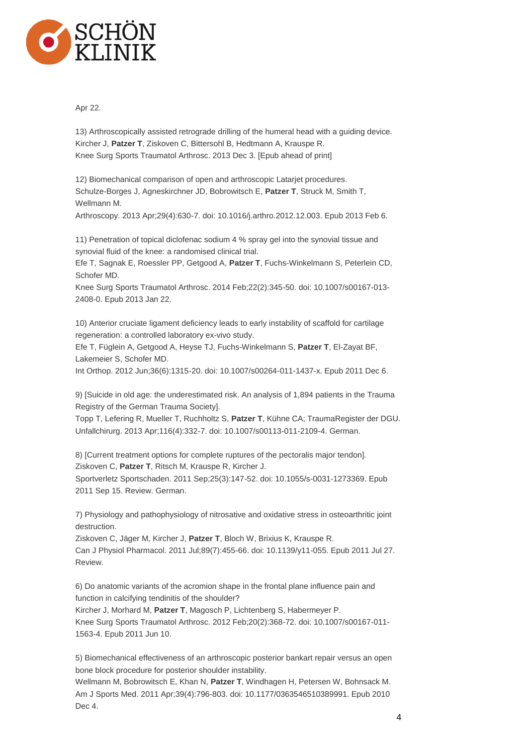

Apr 22.

13) Arthroscopically assisted retrograde drilling of the humeral head with a guiding device. Kircher J, **Patzer T**, Ziskoven C, Bittersohl B, Hedtmann A, Krauspe R. Knee Surg Sports Traumatol Arthrosc. 2013 Dec 3. [Epub ahead of print]

12) Biomechanical comparison of open and arthroscopic Latarjet procedures. Schulze-Borges J, Agneskirchner JD, Bobrowitsch E, **Patzer T**, Struck M, Smith T, Wellmann M.

Arthroscopy. 2013 Apr;29(4):630-7. doi: 10.1016/j.arthro.2012.12.003. Epub 2013 Feb 6.

11) Penetration of topical diclofenac sodium 4 % spray gel into the synovial tissue and synovial fluid of the knee: a randomised clinical trial.

Efe T, Sagnak E, Roessler PP, Getgood A, **Patzer T**, Fuchs-Winkelmann S, Peterlein CD, Schofer MD.

Knee Surg Sports Traumatol Arthrosc. 2014 Feb;22(2):345-50. doi: 10.1007/s00167-013- 2408-0. Epub 2013 Jan 22.

10) Anterior cruciate ligament deficiency leads to early instability of scaffold for cartilage regeneration: a controlled laboratory ex-vivo study.

Efe T, Füglein A, Getgood A, Heyse TJ, Fuchs-Winkelmann S, **Patzer T**, El-Zayat BF, Lakemeier S, Schofer MD.

Int Orthop. 2012 Jun;36(6):1315-20. doi: 10.1007/s00264-011-1437-x. Epub 2011 Dec 6.

9) [Suicide in old age: the underestimated risk. An analysis of 1,894 patients in the Trauma Registry of the German Trauma Society].

Topp T, Lefering R, Mueller T, Ruchholtz S, **Patzer T**, Kühne CA; TraumaRegister der DGU. Unfallchirurg. 2013 Apr;116(4):332-7. doi: 10.1007/s00113-011-2109-4. German.

8) [Current treatment options for complete ruptures of the pectoralis major tendon]. Ziskoven C, **Patzer T**, Ritsch M, Krauspe R, Kircher J.

Sportverletz Sportschaden. 2011 Sep;25(3):147-52. doi: 10.1055/s-0031-1273369. Epub 2011 Sep 15. Review. German.

7) Physiology and pathophysiology of nitrosative and oxidative stress in osteoarthritic joint destruction.

Ziskoven C, Jäger M, Kircher J, **Patzer T**, Bloch W, Brixius K, Krauspe R. Can J Physiol Pharmacol. 2011 Jul;89(7):455-66. doi: 10.1139/y11-055. Epub 2011 Jul 27. Review.

6) Do anatomic variants of the acromion shape in the frontal plane influence pain and function in calcifying tendinitis of the shoulder?

Kircher J, Morhard M, **Patzer T**, Magosch P, Lichtenberg S, Habermeyer P. Knee Surg Sports Traumatol Arthrosc. 2012 Feb;20(2):368-72. doi: 10.1007/s00167-011- 1563-4. Epub 2011 Jun 10.

5) Biomechanical effectiveness of an arthroscopic posterior bankart repair versus an open bone block procedure for posterior shoulder instability.

Wellmann M, Bobrowitsch E, Khan N, **Patzer T**, Windhagen H, Petersen W, Bohnsack M. Am J Sports Med. 2011 Apr;39(4):796-803. doi: 10.1177/0363546510389991. Epub 2010 Dec 4.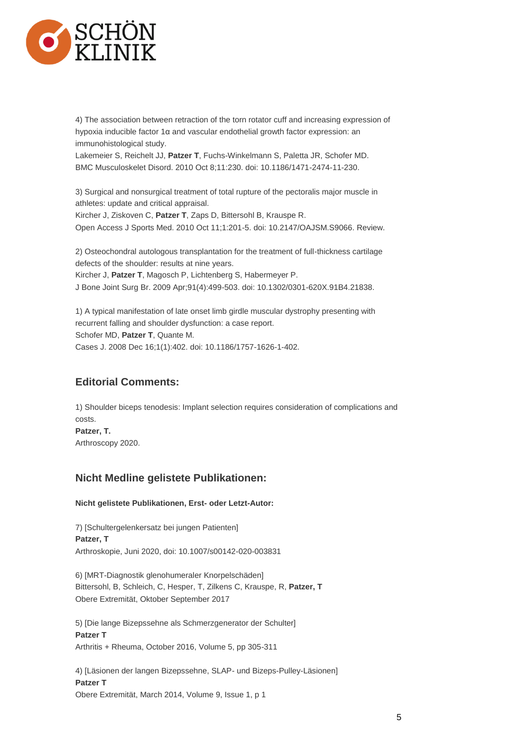

4) The association between retraction of the torn rotator cuff and increasing expression of hypoxia inducible factor 1α and vascular endothelial growth factor expression: an immunohistological study.

Lakemeier S, Reichelt JJ, **Patzer T**, Fuchs-Winkelmann S, Paletta JR, Schofer MD. BMC Musculoskelet Disord. 2010 Oct 8;11:230. doi: 10.1186/1471-2474-11-230.

3) Surgical and nonsurgical treatment of total rupture of the pectoralis major muscle in athletes: update and critical appraisal. Kircher J, Ziskoven C, **Patzer T**, Zaps D, Bittersohl B, Krauspe R.

Open Access J Sports Med. 2010 Oct 11;1:201-5. doi: 10.2147/OAJSM.S9066. Review.

2) Osteochondral autologous transplantation for the treatment of full-thickness cartilage defects of the shoulder: results at nine years.

Kircher J, **Patzer T**, Magosch P, Lichtenberg S, Habermeyer P.

J Bone Joint Surg Br. 2009 Apr;91(4):499-503. doi: 10.1302/0301-620X.91B4.21838.

1) A typical manifestation of late onset limb girdle muscular dystrophy presenting with recurrent falling and shoulder dysfunction: a case report. Schofer MD, **Patzer T**, Quante M. Cases J. 2008 Dec 16;1(1):402. doi: 10.1186/1757-1626-1-402.

# **Editorial Comments:**

1) Shoulder biceps tenodesis: Implant selection requires consideration of complications and costs. **Patzer, T.** Arthroscopy 2020.

## **Nicht Medline gelistete Publikationen:**

#### **Nicht gelistete Publikationen, Erst- oder Letzt-Autor:**

7) [Schultergelenkersatz bei jungen Patienten] **Patzer, T** Arthroskopie, Juni 2020, doi: 10.1007/s00142-020-003831

6) [MRT-Diagnostik glenohumeraler Knorpelschäden] Bittersohl, B, Schleich, C, Hesper, T, Zilkens C, Krauspe, R, **Patzer, T** Obere Extremität, Oktober September 2017

5) [Die lange Bizepssehne als Schmerzgenerator der Schulter] **Patzer T** Arthritis + Rheuma, October 2016, Volume 5, pp 305-311

4) [Läsionen der langen Bizepssehne, SLAP- und Bizeps-Pulley-Läsionen] **Patzer T** Obere Extremität, March 2014, Volume 9, Issue 1, p 1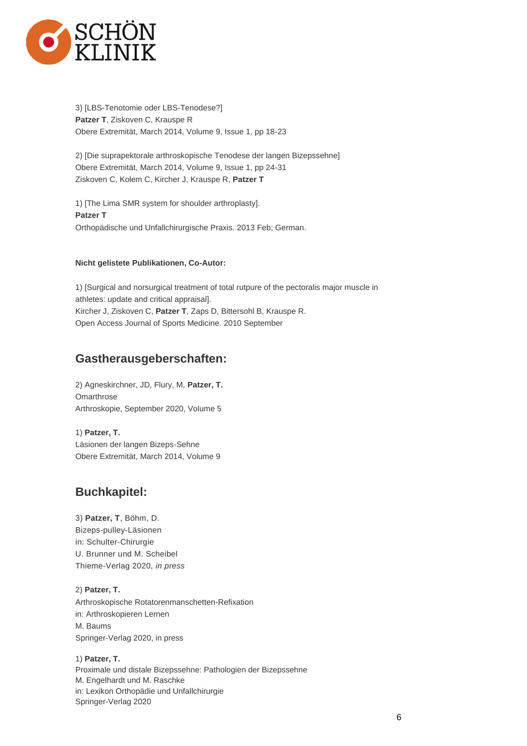

3) [LBS-Tenotomie oder LBS-Tenodese?] **Patzer T**, Ziskoven C, Krauspe R Obere Extremität, March 2014, Volume 9, Issue 1, pp 18-23

2) [Die suprapektorale arthroskopische Tenodese der langen Bizepssehne] Obere Extremität, March 2014, Volume 9, Issue 1, pp 24-31 Ziskoven C, Kolem C, Kircher J, Krauspe R, **Patzer T**

1) [The Lima SMR system for shoulder arthroplasty]. **Patzer T** Orthopädische und Unfallchirurgische Praxis. 2013 Feb; German.

#### **Nicht gelistete Publikationen, Co-Autor:**

1) [Surgical and norsurgical treatment of total rutpure of the pectoralis major muscle in athletes: update and critical appraisal]. Kircher J, Ziskoven C, **Patzer T**, Zaps D, Bittersohl B, Krauspe R. Open Access Journal of Sports Medicine. 2010 September

# **Gastherausgeberschaften:**

2) Agneskirchner, JD, Flury, M, **Patzer, T. Omarthrose** Arthroskopie, September 2020, Volume 5

1) **Patzer, T.** Läsionen der langen Bizeps-Sehne Obere Extremität, March 2014, Volume 9

# **Buchkapitel:**

3) **Patzer, T**, Böhm, D. Bizeps-pulley-Läsionen in: Schulter-Chirurgie U. Brunner und M. Scheibel Thieme-Verlag 2020, *in press*

2) **Patzer, T.** Arthroskopische Rotatorenmanschetten-Refixation in: Arthroskopieren Lernen M. Baums Springer-Verlag 2020, in press

1) **Patzer, T.** Proximale und distale Bizepssehne: Pathologien der Bizepssehne M. Engelhardt und M. Raschke in: Lexikon Orthopädie und Unfallchirurgie Springer-Verlag 2020